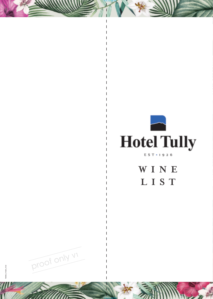

FOLD HERE

FOLD HERE

**W I N E LIST**



703560\_514323\_0122

60\_514323\_0122